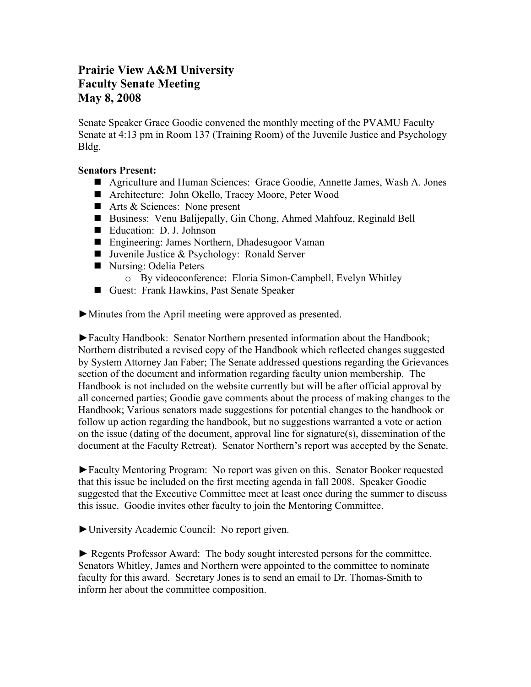## **Prairie View A&M University Faculty Senate Meeting May 8, 2008**

Senate Speaker Grace Goodie convened the monthly meeting of the PVAMU Faculty Senate at 4:13 pm in Room 137 (Training Room) of the Juvenile Justice and Psychology Bldg.

## **Senators Present:**

- Agriculture and Human Sciences: Grace Goodie, Annette James, Wash A. Jones
- Architecture: John Okello, Tracey Moore, Peter Wood
- Arts & Sciences: None present
- Business: Venu Balijepally, Gin Chong, Ahmed Mahfouz, Reginald Bell
- Education: D. J. Johnson
- Engineering: James Northern, Dhadesugoor Vaman
- Juvenile Justice & Psychology: Ronald Server
- Nursing: Odelia Peters
	- o By videoconference: Eloria Simon-Campbell, Evelyn Whitley
- Guest: Frank Hawkins, Past Senate Speaker

►Minutes from the April meeting were approved as presented.

►Faculty Handbook: Senator Northern presented information about the Handbook; Northern distributed a revised copy of the Handbook which reflected changes suggested by System Attorney Jan Faber; The Senate addressed questions regarding the Grievances section of the document and information regarding faculty union membership. The Handbook is not included on the website currently but will be after official approval by all concerned parties; Goodie gave comments about the process of making changes to the Handbook; Various senators made suggestions for potential changes to the handbook or follow up action regarding the handbook, but no suggestions warranted a vote or action on the issue (dating of the document, approval line for signature(s), dissemination of the document at the Faculty Retreat). Senator Northern's report was accepted by the Senate.

►Faculty Mentoring Program: No report was given on this. Senator Booker requested that this issue be included on the first meeting agenda in fall 2008. Speaker Goodie suggested that the Executive Committee meet at least once during the summer to discuss this issue. Goodie invites other faculty to join the Mentoring Committee.

►University Academic Council: No report given.

► Regents Professor Award: The body sought interested persons for the committee. Senators Whitley, James and Northern were appointed to the committee to nominate faculty for this award. Secretary Jones is to send an email to Dr. Thomas-Smith to inform her about the committee composition.